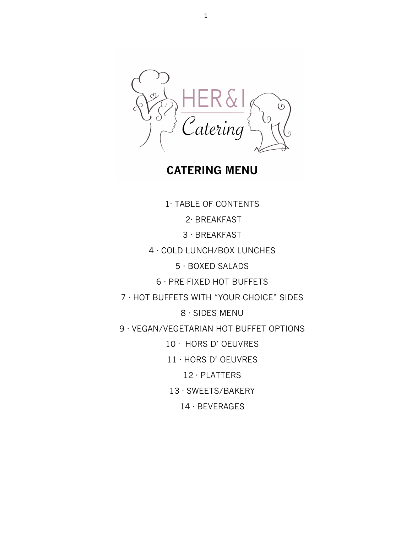Zatering

**CATERING MENU**

1· TABLE OF CONTENTS 2· BREAKFAST 3 · BREAKFAST 4 · COLD LUNCH/BOX LUNCHES 5 · BOXED SALADS 6 · PRE FIXED HOT BUFFETS 7 · HOT BUFFETS WITH "YOUR CHOICE" SIDES 8 · SIDES MENU 9 · VEGAN/VEGETARIAN HOT BUFFET OPTIONS 10 · HORS D' OEUVRES 11 · HORS D' OEUVRES 12 · PLATTERS 13 · SWEETS/BAKERY 14 · BEVERAGES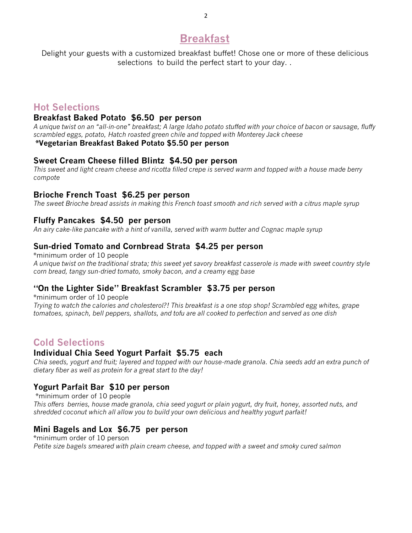# **Breakfast**

Delight your guests with a customized breakfast buffet! Chose one or more of these delicious selections to build the perfect start to your day. .

# **Hot Selections**

#### **Breakfast Baked Potato \$6.50 per person**

*A unique twist on an "all-in-one" breakfast; A large Idaho potato stuffed with your choice of bacon or sausage, fluffy scrambled eggs, potato, Hatch roasted green chile and topped with Monterey Jack cheese*

# **\*Vegetarian Breakfast Baked Potato \$5.50 per person**

#### **Sweet Cream Cheese filled Blintz \$4.50 per person**

*This sweet and light cream cheese and ricotta filled crepe is served warm and topped with a house made berry compote*

### **Brioche French Toast \$6.25 per person**

*The sweet Brioche bread assists in making this French toast smooth and rich served with a citrus maple syrup*

#### **Fluffy Pancakes \$4.50 per person**

*An airy cake-like pancake with a hint of vanilla, served with warm butter and Cognac maple syrup*

### **Sun-dried Tomato and Cornbread Strata \$4.25 per person**

\*minimum order of 10 people *A unique twist on the traditional strata; this sweet yet savory breakfast casserole is made with sweet country style corn bread, tangy sun-dried tomato, smoky bacon, and a creamy egg base*

### **"On the Lighter Side" Breakfast Scrambler \$3.75 per person**

\*minimum order of 10 people

*Trying to watch the calories and cholesterol?! This breakfast is a one stop shop! Scrambled egg whites, grape tomatoes, spinach, bell peppers, shallots, and tofu are all cooked to perfection and served as one dish* 

# **Cold Selections**

### **Individual Chia Seed Yogurt Parfait \$5.75 each**

*Chia seeds, yogurt and fruit; layered and topped with our house-made granola. Chia seeds add an extra punch of dietary fiber as well as protein for a great start to the day!*

#### **Yogurt Parfait Bar \$10 per person**

\*minimum order of 10 people *This offers berries, house made granola, chia seed yogurt or plain yogurt, dry fruit, honey, assorted nuts, and shredded coconut which all allow you to build your own delicious and healthy yogurt parfait!*

### **Mini Bagels and Lox \$6.75 per person**

\*minimum order of 10 person *Petite size bagels smeared with plain cream cheese, and topped with a sweet and smoky cured salmon*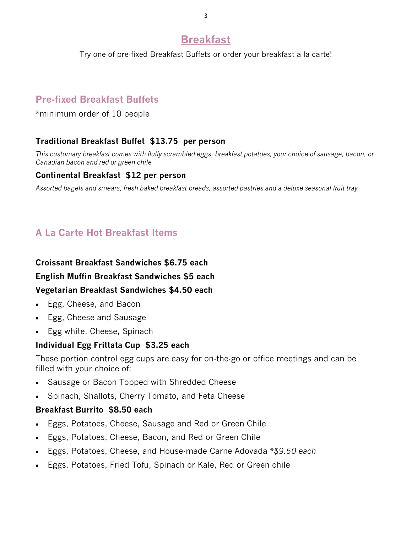# **Breakfast**

Try one of pre-fixed Breakfast Buffets or order your breakfast a la carte!

# **Pre-fixed Breakfast Buffets**

\*minimum order of 10 people

## **Traditional Breakfast Buffet \$13.75 per person**

*This customary breakfast comes with fluffy scrambled eggs, breakfast potatoes, your choice of sausage, bacon, or Canadian bacon and red or green chile*

## **Continental Breakfast \$12 per person**

*Assorted bagels and smears, fresh baked breakfast breads, assorted pastries and a deluxe seasonal fruit tray* 

# **A La Carte Hot Breakfast Items**

### **Croissant Breakfast Sandwiches \$6.75 each**

### **English Muffin Breakfast Sandwiches \$5 each**

### **Vegetarian Breakfast Sandwiches \$4.50 each**

- Egg, Cheese, and Bacon
- Egg, Cheese and Sausage
- Egg white, Cheese, Spinach

## **Individual Egg Frittata Cup \$3.25 each**

These portion control egg cups are easy for on-the-go or office meetings and can be filled with your choice of:

- Sausage or Bacon Topped with Shredded Cheese
- Spinach, Shallots, Cherry Tomato, and Feta Cheese

## **Breakfast Burrito \$8.50 each**

- Eggs, Potatoes, Cheese, Sausage and Red or Green Chile
- Eggs, Potatoes, Cheese, Bacon, and Red or Green Chile
- Eggs, Potatoes, Cheese, and House-made Carne Adovada \**\$9.50 each*
- Eggs, Potatoes, Fried Tofu, Spinach or Kale, Red or Green chile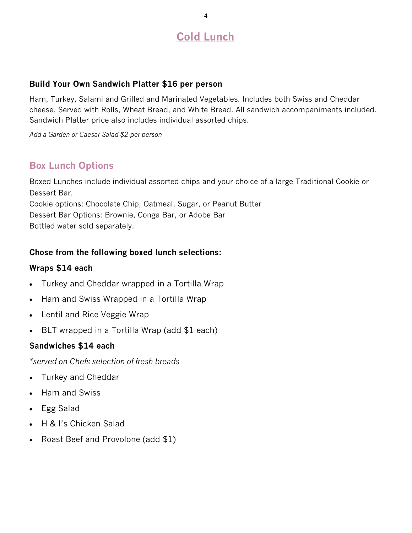# **Cold Lunch**

### **Build Your Own Sandwich Platter \$16 per person**

Ham, Turkey, Salami and Grilled and Marinated Vegetables. Includes both Swiss and Cheddar cheese. Served with Rolls, Wheat Bread, and White Bread. All sandwich accompaniments included. Sandwich Platter price also includes individual assorted chips.

*Add a Garden or Caesar Salad \$2 per person*

# **Box Lunch Options**

Boxed Lunches include individual assorted chips and your choice of a large Traditional Cookie or Dessert Bar. Cookie options: Chocolate Chip, Oatmeal, Sugar, or Peanut Butter Dessert Bar Options: Brownie, Conga Bar, or Adobe Bar Bottled water sold separately.

## **Chose from the following boxed lunch selections:**

### **Wraps \$14 each**

- Turkey and Cheddar wrapped in a Tortilla Wrap
- Ham and Swiss Wrapped in a Tortilla Wrap
- Lentil and Rice Veggie Wrap
- BLT wrapped in a Tortilla Wrap (add \$1 each)

### **Sandwiches \$14 each**

*\*served on Chefs selection of fresh breads*

- Turkey and Cheddar
- Ham and Swiss
- Egg Salad
- H & I's Chicken Salad
- Roast Beef and Provolone (add \$1)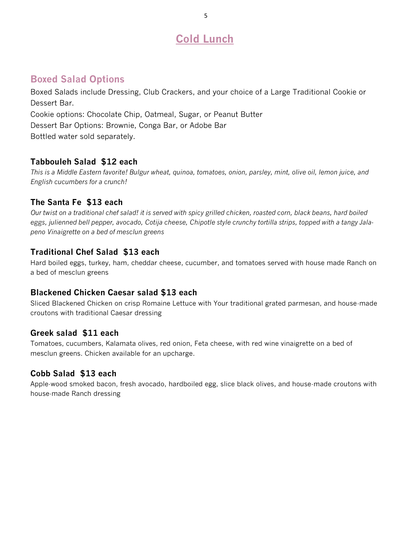# **Cold Lunch**

# **Boxed Salad Options**

Boxed Salads include Dressing, Club Crackers, and your choice of a Large Traditional Cookie or Dessert Bar. Cookie options: Chocolate Chip, Oatmeal, Sugar, or Peanut Butter Dessert Bar Options: Brownie, Conga Bar, or Adobe Bar Bottled water sold separately.

## **Tabbouleh Salad \$12 each**

*This is a Middle Eastern favorite! Bulgur wheat, quinoa, tomatoes, onion, parsley, mint, olive oil, lemon juice, and English cucumbers for a crunch!*

## **The Santa Fe \$13 each**

*Our twist on a traditional chef salad! it is served with spicy grilled chicken, roasted corn, black beans, hard boiled eggs, julienned bell pepper, avocado, Cotija cheese, Chipotle style crunchy tortilla strips, topped with a tangy Jalapeno Vinaigrette on a bed of mesclun greens*

## **Traditional Chef Salad \$13 each**

Hard boiled eggs, turkey, ham, cheddar cheese, cucumber, and tomatoes served with house made Ranch on a bed of mesclun greens

## **Blackened Chicken Caesar salad \$13 each**

Sliced Blackened Chicken on crisp Romaine Lettuce with Your traditional grated parmesan, and house-made croutons with traditional Caesar dressing

## **Greek salad \$11 each**

Tomatoes, cucumbers, Kalamata olives, red onion, Feta cheese, with red wine vinaigrette on a bed of mesclun greens. Chicken available for an upcharge.

## **Cobb Salad \$13 each**

Apple-wood smoked bacon, fresh avocado, hardboiled egg, slice black olives, and house-made croutons with house-made Ranch dressing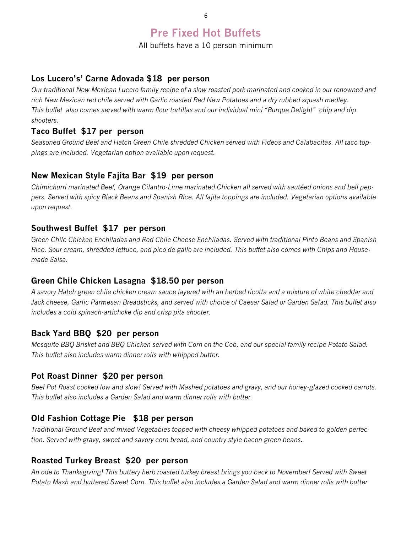# **Pre Fixed Hot Buffets**

All buffets have a 10 person minimum

#### **Los Lucero's' Carne Adovada \$18 per person**

*Our traditional New Mexican Lucero family recipe of a slow roasted pork marinated and cooked in our renowned and rich New Mexican red chile served with Garlic roasted Red New Potatoes and a dry rubbed squash medley. This buffet also comes served with warm flour tortillas and our individual mini "Burque Delight" chip and dip shooters.* 

#### **Taco Buffet \$17 per person**

*Seasoned Ground Beef and Hatch Green Chile shredded Chicken served with Fideos and Calabacitas. All taco toppings are included. Vegetarian option available upon request.* 

#### **New Mexican Style Fajita Bar \$19 per person**

*Chimichurri marinated Beef, Orange Cilantro-Lime marinated Chicken all served with sautéed onions and bell peppers. Served with spicy Black Beans and Spanish Rice. All fajita toppings are included. Vegetarian options available upon request.* 

#### **Southwest Buffet \$17 per person**

*Green Chile Chicken Enchiladas and Red Chile Cheese Enchiladas. Served with traditional Pinto Beans and Spanish Rice. Sour cream, shredded lettuce, and pico de gallo are included. This buffet also comes with Chips and Housemade Salsa.* 

#### **Green Chile Chicken Lasagna \$18.50 per person**

*A savory Hatch green chile chicken cream sauce layered with an herbed ricotta and a mixture of white cheddar and Jack cheese, Garlic Parmesan Breadsticks, and served with choice of Caesar Salad or Garden Salad. This buffet also includes a cold spinach-artichoke dip and crisp pita shooter.*

### **Back Yard BBQ \$20 per person**

*Mesquite BBQ Brisket and BBQ Chicken served with Corn on the Cob, and our special family recipe Potato Salad. This buffet also includes warm dinner rolls with whipped butter.* 

#### **Pot Roast Dinner \$20 per person**

*Beef Pot Roast cooked low and slow! Served with Mashed potatoes and gravy, and our honey-glazed cooked carrots. This buffet also includes a Garden Salad and warm dinner rolls with butter.* 

### **Old Fashion Cottage Pie \$18 per person**

*Traditional Ground Beef and mixed Vegetables topped with cheesy whipped potatoes and baked to golden perfection. Served with gravy, sweet and savory corn bread, and country style bacon green beans.* 

#### **Roasted Turkey Breast \$20 per person**

*An ode to Thanksgiving! This buttery herb roasted turkey breast brings you back to November! Served with Sweet Potato Mash and buttered Sweet Corn. This buffet also includes a Garden Salad and warm dinner rolls with butter*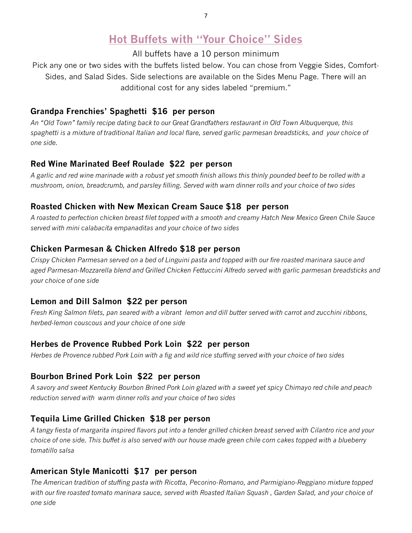# **Hot Buffets with "Your Choice" Sides**

All buffets have a 10 person minimum

Pick any one or two sides with the buffets listed below. You can chose from Veggie Sides, Comfort-Sides, and Salad Sides. Side selections are available on the Sides Menu Page. There will an additional cost for any sides labeled "premium."

## **Grandpa Frenchies' Spaghetti \$16 per person**

*An "Old Town" family recipe dating back to our Great Grandfathers restaurant in Old Town Albuquerque, this spaghetti is a mixture of traditional Italian and local flare, served garlic parmesan breadsticks, and your choice of one side.* 

## **Red Wine Marinated Beef Roulade \$22 per person**

*A garlic and red wine marinade with a robust yet smooth finish allows this thinly pounded beef to be rolled with a mushroom, onion, breadcrumb, and parsley filling. Served with warn dinner rolls and your choice of two sides*

# **Roasted Chicken with New Mexican Cream Sauce \$18 per person**

*A roasted to perfection chicken breast filet topped with a smooth and creamy Hatch New Mexico Green Chile Sauce served with mini calabacita empanaditas and your choice of two sides*

# **Chicken Parmesan & Chicken Alfredo \$18 per person**

*Crispy Chicken Parmesan served on a bed of Linguini pasta and topped with our fire roasted marinara sauce and aged Parmesan-Mozzarella blend and Grilled Chicken Fettuccini Alfredo served with garlic parmesan breadsticks and your choice of one side*

## **Lemon and Dill Salmon \$22 per person**

*Fresh King Salmon filets, pan seared with a vibrant lemon and dill butter served with carrot and zucchini ribbons, herbed-lemon couscous and your choice of one side* 

## **Herbes de Provence Rubbed Pork Loin \$22 per person**

*Herbes de Provence rubbed Pork Loin with a fig and wild rice stuffing served with your choice of two sides*

# **Bourbon Brined Pork Loin \$22 per person**

*A savory and sweet Kentucky Bourbon Brined Pork Loin glazed with a sweet yet spicy Chimayo red chile and peach reduction served with warm dinner rolls and your choice of two sides*

# **Tequila Lime Grilled Chicken \$18 per person**

*A tangy fiesta of margarita inspired flavors put into a tender grilled chicken breast served with Cilantro rice and your choice of one side. This buffet is also served with our house made green chile corn cakes topped with a blueberry tomatillo salsa* 

# **American Style Manicotti \$17 per person**

*The American tradition of stuffing pasta with Ricotta, Pecorino-Romano, and Parmigiano-Reggiano mixture topped*  with our fire roasted tomato marinara sauce, served with Roasted Italian Squash, Garden Salad, and your choice of *one side*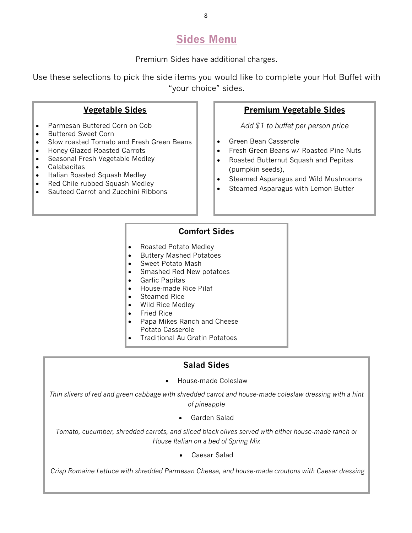# **Sides Menu**

Premium Sides have additional charges.

Use these selections to pick the side items you would like to complete your Hot Buffet with "your choice" sides.

## **Vegetable Sides**

- Parmesan Buttered Corn on Cob
- Buttered Sweet Corn
- Slow roasted Tomato and Fresh Green Beans
- Honey Glazed Roasted Carrots
- Seasonal Fresh Vegetable Medley
- **Calabacitas**
- Italian Roasted Squash Medley
- Red Chile rubbed Squash Medley
- Sauteed Carrot and Zucchini Ribbons

### **Premium Vegetable Sides**

*Add \$1 to buffet per person price* 

- Green Bean Casserole
- Fresh Green Beans w/ Roasted Pine Nuts
- Roasted Butternut Squash and Pepitas (pumpkin seeds),
- Steamed Asparagus and Wild Mushrooms
- Steamed Asparagus with Lemon Butter

### **Comfort Sides**

- Roasted Potato Medley
- Buttery Mashed Potatoes
- Sweet Potato Mash
- Smashed Red New potatoes
- Garlic Papitas
- House-made Rice Pilaf
- Steamed Rice
- Wild Rice Medley
- Fried Rice
- Papa Mikes Ranch and Cheese Potato Casserole
- Traditional Au Gratin Potatoes

### **Salad Sides**

• House-made Coleslaw

*Thin slivers of red and green cabbage with shredded carrot and house-made coleslaw dressing with a hint of pineapple*

Garden Salad

*Tomato, cucumber, shredded carrots, and sliced black olives served with either house-made ranch or House Italian on a bed of Spring Mix* 

• Caesar Salad

*Crisp Romaine Lettuce with shredded Parmesan Cheese, and house-made croutons with Caesar dressing*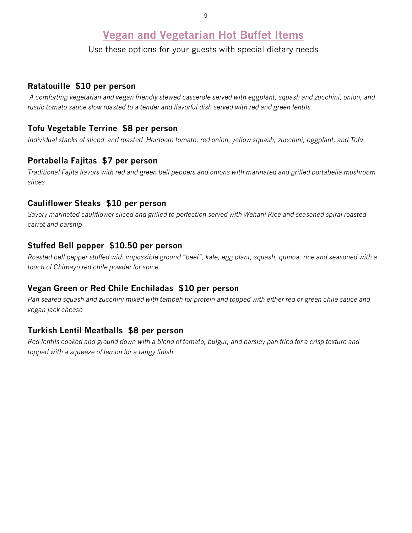# **Vegan and Vegetarian Hot Buffet Items**

Use these options for your guests with special dietary needs

### **Ratatouille \$10 per person**

*A comforting vegetarian and vegan friendly stewed casserole served with eggplant, squash and zucchini, onion, and rustic tomato sauce slow roasted to a tender and flavorful dish served with red and green lentils*

### **Tofu Vegetable Terrine \$8 per person**

*Individual stacks of sliced and roasted Heirloom tomato, red onion, yellow squash, zucchini, eggplant, and Tofu*

### **Portabella Fajitas \$7 per person**

*Traditional Fajita flavors with red and green bell peppers and onions with marinated and grilled portabella mushroom slices*

#### **Cauliflower Steaks \$10 per person**

*Savory marinated cauliflower sliced and grilled to perfection served with Wehani Rice and seasoned spiral roasted carrot and parsnip*

#### **Stuffed Bell pepper \$10.50 per person**

*Roasted bell pepper stuffed with impossible ground "beef", kale, egg plant, squash, quinoa, rice and seasoned with a touch of Chimayo red chile powder for spice*

### **Vegan Green or Red Chile Enchiladas \$10 per person**

*Pan seared squash and zucchini mixed with tempeh for protein and topped with either red or green chile sauce and vegan jack cheese*

### **Turkish Lentil Meatballs \$8 per person**

*Red lentils cooked and ground down with a blend of tomato, bulgur, and parsley pan fried for a crisp texture and topped with a squeeze of lemon for a tangy finish*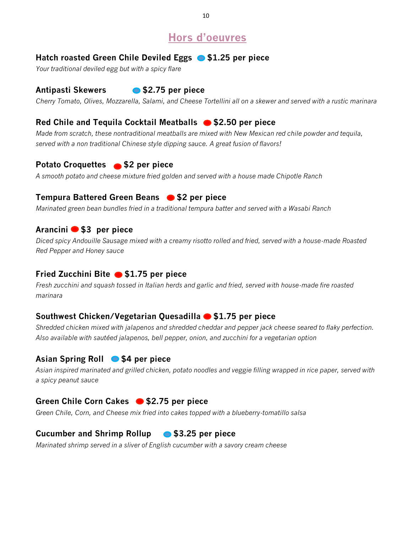# **Hors d'oeuvres**

## Hatch roasted Green Chile Deviled Eggs **\$1.25 per piece**

*Your traditional deviled egg but with a spicy flare*

### **Antipasti Skewers \$2.75 per piece**

*Cherry Tomato, Olives, Mozzarella, Salami, and Cheese Tortellini all on a skewer and served with a rustic marinara*

## **Red Chile and Tequila Cocktail Meatballs • \$2.50 per piece**

*Made from scratch, these nontraditional meatballs are mixed with New Mexican red chile powder and tequila, served with a non traditional Chinese style dipping sauce. A great fusion of flavors!*

### **Potato Croquettes \$2 per piece**

*A smooth potato and cheese mixture fried golden and served with a house made Chipotle Ranch*

## **Tempura Battered Green Beans @ \$2 per piece**

*Marinated green bean bundles fried in a traditional tempura batter and served with a Wasabi Ranch*

#### **Arancini \$3 per piece**

*Diced spicy Andouille Sausage mixed with a creamy risotto rolled and fried, served with a house-made Roasted Red Pepper and Honey sauce*

### **Fried Zucchini Bite @ \$1.75 per piece**

*Fresh zucchini and squash tossed in Italian herds and garlic and fried, served with house-made fire roasted marinara*

### **Southwest Chicken/Vegetarian Quesadilla \$1.75 per piece**

*Shredded chicken mixed with jalapenos and shredded cheddar and pepper jack cheese seared to flaky perfection. Also available with sautéed jalapenos, bell pepper, onion, and zucchini for a vegetarian option*

## **Asian Spring Roll \$4 per piece**

*Asian inspired marinated and grilled chicken, potato noodles and veggie filling wrapped in rice paper, served with a spicy peanut sauce*

## Green Chile Corn Cakes ● \$2.75 per piece

*Green Chile, Corn, and Cheese mix fried into cakes topped with a blueberry-tomatillo salsa*

## **Cucumber and Shrimp Rollup \$3.25 per piece**

*Marinated shrimp served in a sliver of English cucumber with a savory cream cheese*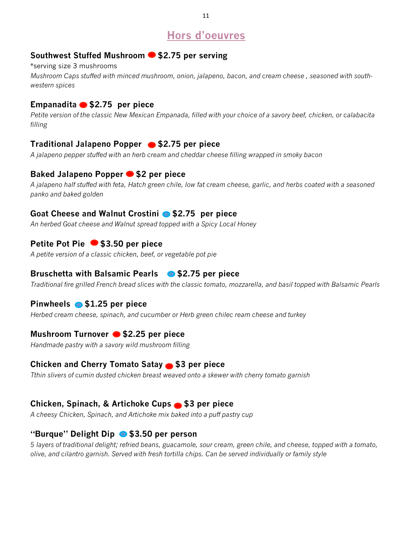# **Hors d'oeuvres**

## **Southwest Stuffed Mushroom \$2.75 per serving**

\*serving size 3 mushrooms *Mushroom Caps stuffed with minced mushroom, onion, jalapeno, bacon, and cream cheese , seasoned with southwestern spices* 

## **Empanadita \$2.75 per piece**

*Petite version of the classic New Mexican Empanada, filled with your choice of a savory beef, chicken, or calabacita filling*

## **Traditional Jalapeno Popper \$2.75 per piece**

*A jalapeno pepper stuffed with an herb cream and cheddar cheese filling wrapped in smoky bacon* 

## **Baked Jalapeno Popper \$2 per piece**

*A jalapeno half stuffed with feta, Hatch green chile, low fat cream cheese, garlic, and herbs coated with a seasoned panko and baked golden*

### Goat Cheese and Walnut Crostini **• \$2.75** per piece

*An herbed Goat cheese and Walnut spread topped with a Spicy Local Honey* 

## **Petite Pot Pie \$3.50 per piece**

*A petite version of a classic chicken, beef, or vegetable pot pie*

## **Bruschetta with Balsamic Pearls \$2.75 per piece**

*Traditional fire grilled French bread slices with the classic tomato, mozzarella, and basil topped with Balsamic Pearls* 

## **Pinwheels \$1.25 per piece**

*Herbed cream cheese, spinach, and cucumber or Herb green chilec ream cheese and turkey*

## **Mushroom Turnover \$2.25 per piece**

*Handmade pastry with a savory wild mushroom filling*

### **Chicken and Cherry Tomato Satay • \$3 per piece**

*Tthin slivers of cumin dusted chicken breast weaved onto a skewer with cherry tomato garnish*

## **Chicken, Spinach, & Artichoke Cups • \$3 per piece**

*A cheesy Chicken, Spinach, and Artichoke mix baked into a puff pastry cup*

### **"Burque" Delight Dip \$3.50 per person**

*5 layers of traditional delight; refried beans, guacamole, sour cream, green chile, and cheese, topped with a tomato, olive, and cilantro garnish. Served with fresh tortilla chips. Can be served individually or family style*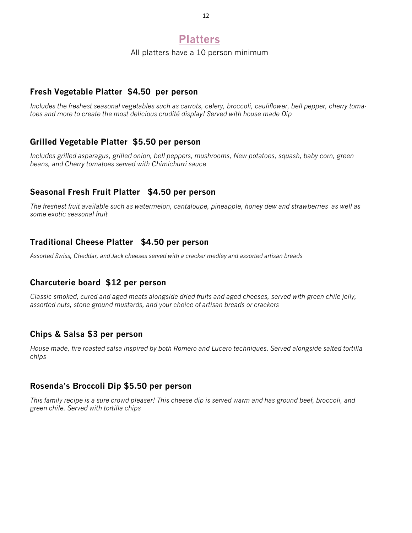# **Platters**

All platters have a 10 person minimum

### **Fresh Vegetable Platter \$4.50 per person**

*Includes the freshest seasonal vegetables such as carrots, celery, broccoli, cauliflower, bell pepper, cherry tomatoes and more to create the most delicious crudité display! Served with house made Dip*

### **Grilled Vegetable Platter \$5.50 per person**

*Includes grilled asparagus, grilled onion, bell peppers, mushrooms, New potatoes, squash, baby corn, green beans, and Cherry tomatoes served with Chimichurri sauce*

### **Seasonal Fresh Fruit Platter \$4.50 per person**

*The freshest fruit available such as watermelon, cantaloupe, pineapple, honey dew and strawberries as well as some exotic seasonal fruit*

### **Traditional Cheese Platter \$4.50 per person**

*Assorted Swiss, Cheddar, and Jack cheeses served with a cracker medley and assorted artisan breads* 

### **Charcuterie board \$12 per person**

*Classic smoked, cured and aged meats alongside dried fruits and aged cheeses, served with green chile jelly, assorted nuts, stone ground mustards, and your choice of artisan breads or crackers* 

#### **Chips & Salsa \$3 per person**

*House made, fire roasted salsa inspired by both Romero and Lucero techniques. Served alongside salted tortilla chips* 

### **Rosenda's Broccoli Dip \$5.50 per person**

*This family recipe is a sure crowd pleaser! This cheese dip is served warm and has ground beef, broccoli, and green chile. Served with tortilla chips*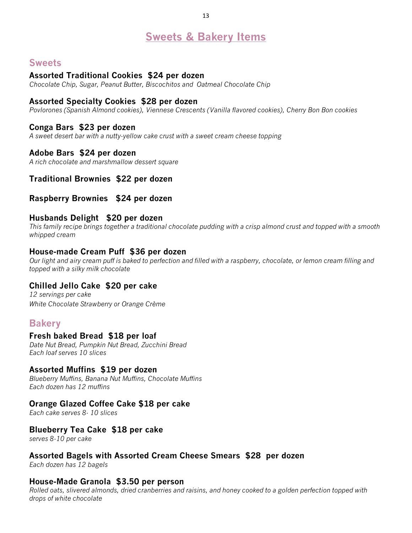# **Sweets & Bakery Items**

## **Sweets**

#### **Assorted Traditional Cookies \$24 per dozen**

*Chocolate Chip, Sugar, Peanut Butter, Biscochitos and Oatmeal Chocolate Chip* 

#### **Assorted Specialty Cookies \$28 per dozen**

*Povlorones (Spanish Almond cookies), Viennese Crescents (Vanilla flavored cookies), Cherry Bon Bon cookies*

#### **Conga Bars \$23 per dozen**

*A sweet desert bar with a nutty-yellow cake crust with a sweet cream cheese topping*

#### **Adobe Bars \$24 per dozen**

*A rich chocolate and marshmallow dessert square*

#### **Traditional Brownies \$22 per dozen**

#### **Raspberry Brownies \$24 per dozen**

#### **Husbands Delight \$20 per dozen**

*This family recipe brings together a traditional chocolate pudding with a crisp almond crust and topped with a smooth whipped cream*

#### **House-made Cream Puff \$36 per dozen**

*Our light and airy cream puff is baked to perfection and filled with a raspberry, chocolate, or lemon cream filling and topped with a silky milk chocolate*

#### **Chilled Jello Cake \$20 per cake**

*12 servings per cake White Chocolate Strawberry or Orange Crème* 

### **Bakery**

#### **Fresh baked Bread \$18 per loaf**

*Date Nut Bread, Pumpkin Nut Bread, Zucchini Bread Each loaf serves 10 slices*

#### **Assorted Muffins \$19 per dozen**

*Blueberry Muffins, Banana Nut Muffins, Chocolate Muffins Each dozen has 12 muffins* 

#### **Orange Glazed Coffee Cake \$18 per cake**

*Each cake serves 8- 10 slices* 

#### **Blueberry Tea Cake \$18 per cake**

*serves 8-10 per cake*

#### **Assorted Bagels with Assorted Cream Cheese Smears \$28 per dozen**

*Each dozen has 12 bagels* 

#### **House-Made Granola \$3.50 per person**

*Rolled oats, slivered almonds, dried cranberries and raisins, and honey cooked to a golden perfection topped with drops of white chocolate*